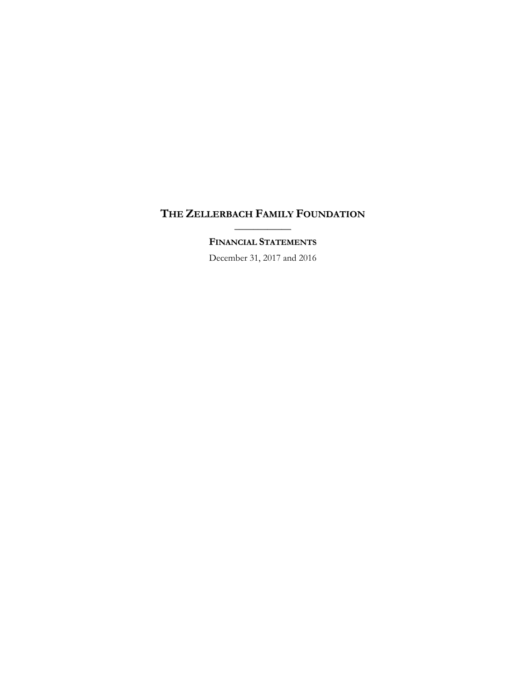# **THE ZELLERBACH FAMILY FOUNDATION** \_\_\_\_\_\_\_\_\_\_\_\_

# **FINANCIAL STATEMENTS**

December 31, 2017 and 2016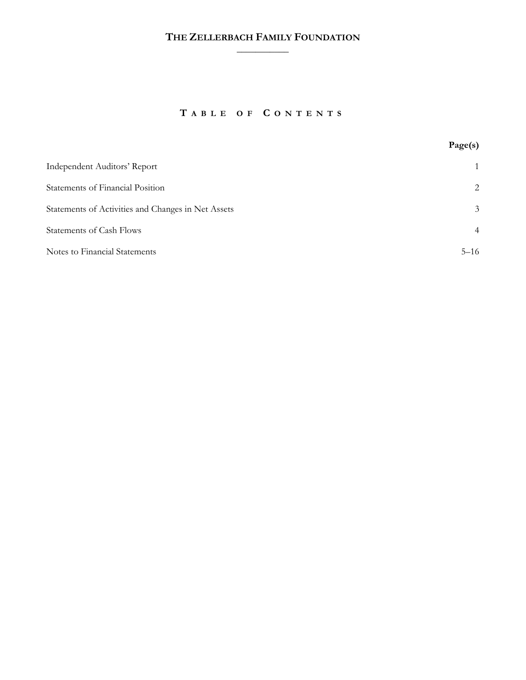# **THE ZELLERBACH FAMILY FOUNDATION**  $\frac{1}{2}$

# **T ABLE OF C ONTENTS**

|                                                    | Page(s)        |
|----------------------------------------------------|----------------|
| <b>Independent Auditors' Report</b>                | $\mathbf{1}$   |
| <b>Statements of Financial Position</b>            | 2              |
| Statements of Activities and Changes in Net Assets | 3              |
| <b>Statements of Cash Flows</b>                    | $\overline{4}$ |
| Notes to Financial Statements                      | $5 - 16$       |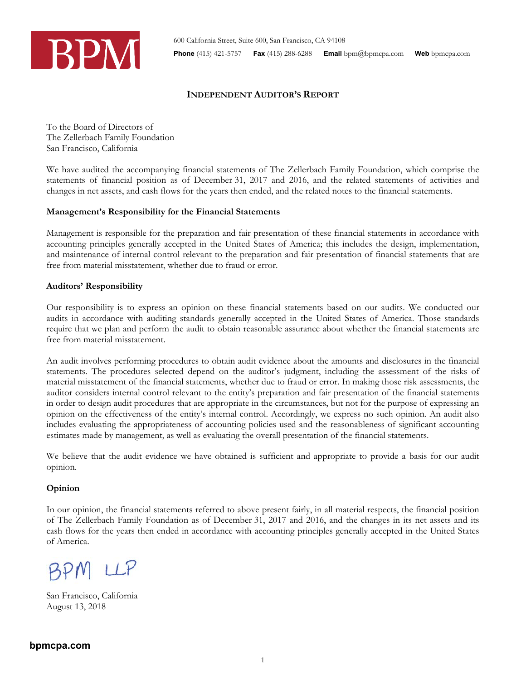

# **INDEPENDENT AUDITOR'S REPORT**

To the Board of Directors of The Zellerbach Family Foundation San Francisco, California

We have audited the accompanying financial statements of The Zellerbach Family Foundation, which comprise the statements of financial position as of December 31, 2017 and 2016, and the related statements of activities and changes in net assets, and cash flows for the years then ended, and the related notes to the financial statements.

## **Management's Responsibility for the Financial Statements**

Management is responsible for the preparation and fair presentation of these financial statements in accordance with accounting principles generally accepted in the United States of America; this includes the design, implementation, and maintenance of internal control relevant to the preparation and fair presentation of financial statements that are free from material misstatement, whether due to fraud or error.

## **Auditors' Responsibility**

Our responsibility is to express an opinion on these financial statements based on our audits. We conducted our audits in accordance with auditing standards generally accepted in the United States of America. Those standards require that we plan and perform the audit to obtain reasonable assurance about whether the financial statements are free from material misstatement.

An audit involves performing procedures to obtain audit evidence about the amounts and disclosures in the financial statements. The procedures selected depend on the auditor's judgment, including the assessment of the risks of material misstatement of the financial statements, whether due to fraud or error. In making those risk assessments, the auditor considers internal control relevant to the entity's preparation and fair presentation of the financial statements in order to design audit procedures that are appropriate in the circumstances, but not for the purpose of expressing an opinion on the effectiveness of the entity's internal control. Accordingly, we express no such opinion. An audit also includes evaluating the appropriateness of accounting policies used and the reasonableness of significant accounting estimates made by management, as well as evaluating the overall presentation of the financial statements.

We believe that the audit evidence we have obtained is sufficient and appropriate to provide a basis for our audit opinion.

# **Opinion**

In our opinion, the financial statements referred to above present fairly, in all material respects, the financial position of The Zellerbach Family Foundation as of December 31, 2017 and 2016, and the changes in its net assets and its cash flows for the years then ended in accordance with accounting principles generally accepted in the United States of America.

BPM LLP

San Francisco, California August 13, 2018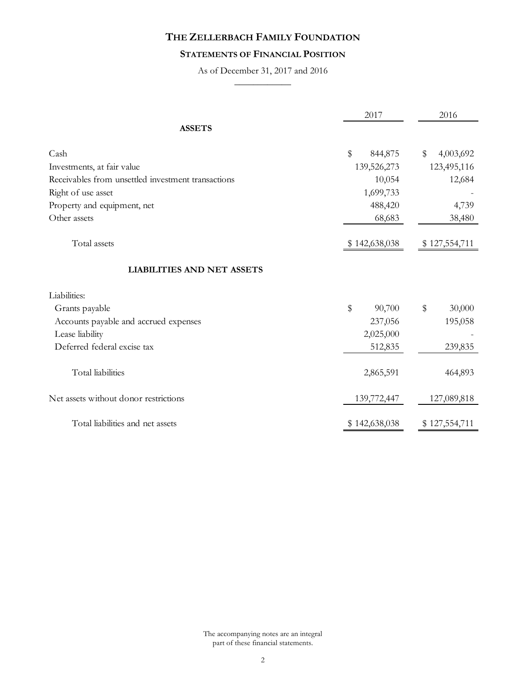# **STATEMENTS OF FINANCIAL POSITION**

As of December 31, 2017 and 2016  $\overline{\phantom{a}}$ 

|                                                    | 2017              | 2016            |
|----------------------------------------------------|-------------------|-----------------|
| <b>ASSETS</b>                                      |                   |                 |
| Cash                                               | $\$\,$<br>844,875 | \$<br>4,003,692 |
| Investments, at fair value                         | 139,526,273       | 123,495,116     |
| Receivables from unsettled investment transactions | 10,054            | 12,684          |
| Right of use asset                                 | 1,699,733         |                 |
| Property and equipment, net                        | 488,420           | 4,739           |
| Other assets                                       | 68,683            | 38,480          |
| Total assets                                       | \$142,638,038     | \$127,554,711   |
| <b>LIABILITIES AND NET ASSETS</b>                  |                   |                 |
| Liabilities:                                       |                   |                 |
| Grants payable                                     | \$<br>90,700      | \$<br>30,000    |
| Accounts payable and accrued expenses              | 237,056           | 195,058         |
| Lease liability                                    | 2,025,000         |                 |
| Deferred federal excise tax                        | 512,835           | 239,835         |
| Total liabilities                                  | 2,865,591         | 464,893         |
| Net assets without donor restrictions              | 139,772,447       | 127,089,818     |
| Total liabilities and net assets                   | \$142,638,038     | \$127,554,711   |

The accompanying notes are an integral part of these financial statements.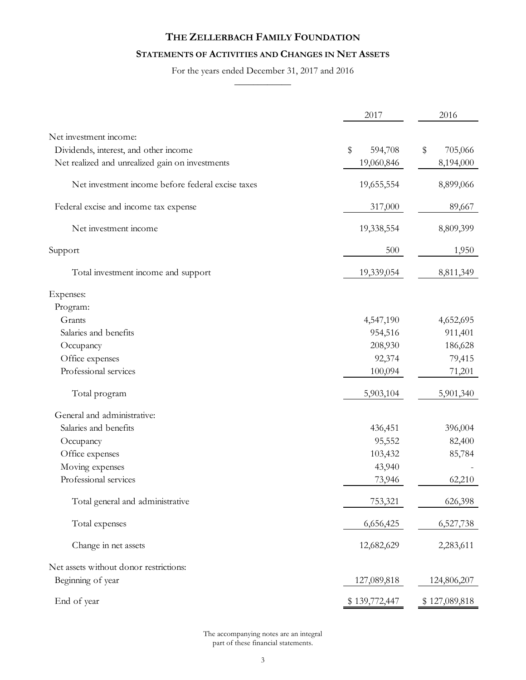# **STATEMENTS OF ACTIVITIES AND CHANGES IN NET ASSETS**

For the years ended December 31, 2017 and 2016  $\overline{\phantom{a}}$ 

|                                                   | 2017          | 2016          |
|---------------------------------------------------|---------------|---------------|
| Net investment income:                            |               |               |
| Dividends, interest, and other income             | \$<br>594,708 | \$<br>705,066 |
| Net realized and unrealized gain on investments   | 19,060,846    | 8,194,000     |
| Net investment income before federal excise taxes | 19,655,554    | 8,899,066     |
| Federal excise and income tax expense             | 317,000       | 89,667        |
| Net investment income                             | 19,338,554    | 8,809,399     |
| Support                                           | 500           | 1,950         |
| Total investment income and support               | 19,339,054    | 8,811,349     |
| Expenses:                                         |               |               |
| Program:                                          |               |               |
| Grants                                            | 4,547,190     | 4,652,695     |
| Salaries and benefits                             | 954,516       | 911,401       |
| Occupancy                                         | 208,930       | 186,628       |
| Office expenses                                   | 92,374        | 79,415        |
| Professional services                             | 100,094       | 71,201        |
| Total program                                     | 5,903,104     | 5,901,340     |
| General and administrative:                       |               |               |
| Salaries and benefits                             | 436,451       | 396,004       |
| Occupancy                                         | 95,552        | 82,400        |
| Office expenses                                   | 103,432       | 85,784        |
| Moving expenses                                   | 43,940        |               |
| Professional services                             | 73,946        | 62,210        |
| Total general and administrative                  | 753,321       | 626,398       |
| Total expenses                                    | 6,656,425     | 6,527,738     |
| Change in net assets                              | 12,682,629    | 2,283,611     |
| Net assets without donor restrictions:            |               |               |
| Beginning of year                                 | 127,089,818   | 124,806,207   |
| End of year                                       | \$139,772,447 | \$127,089,818 |

The accompanying notes are an integral part of these financial statements.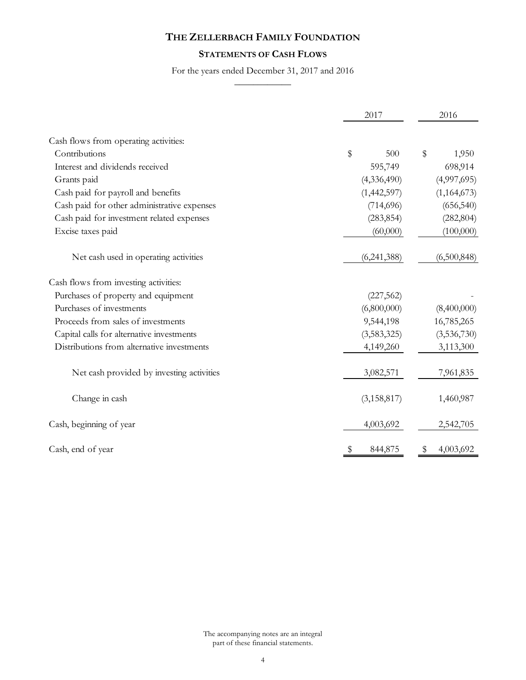# **STATEMENTS OF CASH FLOWS**

For the years ended December 31, 2017 and 2016  $\overline{\phantom{a}}$ 

|                                             | 2017          | 2016        |  |
|---------------------------------------------|---------------|-------------|--|
| Cash flows from operating activities:       |               |             |  |
| Contributions                               | \$<br>500     | \$<br>1,950 |  |
| Interest and dividends received             | 595,749       | 698,914     |  |
| Grants paid                                 | (4,336,490)   | (4,997,695) |  |
| Cash paid for payroll and benefits          | (1,442,597)   | (1,164,673) |  |
| Cash paid for other administrative expenses | (714, 696)    | (656, 540)  |  |
| Cash paid for investment related expenses   | (283, 854)    | (282, 804)  |  |
| Excise taxes paid                           | (60,000)      | (100,000)   |  |
| Net cash used in operating activities       | (6,241,388)   | (6,500,848) |  |
| Cash flows from investing activities:       |               |             |  |
| Purchases of property and equipment         | (227, 562)    |             |  |
| Purchases of investments                    | (6,800,000)   | (8,400,000) |  |
| Proceeds from sales of investments          | 9,544,198     | 16,785,265  |  |
| Capital calls for alternative investments   | (3,583,325)   | (3,536,730) |  |
| Distributions from alternative investments  | 4,149,260     | 3,113,300   |  |
| Net cash provided by investing activities   | 3,082,571     | 7,961,835   |  |
| Change in cash                              | (3, 158, 817) | 1,460,987   |  |
| Cash, beginning of year                     | 4,003,692     | 2,542,705   |  |
| Cash, end of year                           | 844,875       | 4,003,692   |  |

The accompanying notes are an integral part of these financial statements.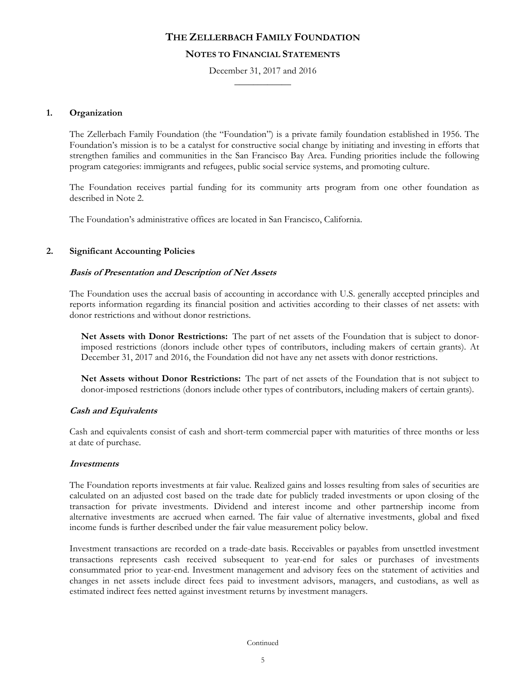## **NOTES TO FINANCIAL STATEMENTS**

December 31, 2017 and 2016  $\frac{1}{2}$ 

## **1. Organization**

The Zellerbach Family Foundation (the "Foundation") is a private family foundation established in 1956. The Foundation's mission is to be a catalyst for constructive social change by initiating and investing in efforts that strengthen families and communities in the San Francisco Bay Area. Funding priorities include the following program categories: immigrants and refugees, public social service systems, and promoting culture.

The Foundation receives partial funding for its community arts program from one other foundation as described in Note 2.

The Foundation's administrative offices are located in San Francisco, California.

## **2. Significant Accounting Policies**

## **Basis of Presentation and Description of Net Assets**

The Foundation uses the accrual basis of accounting in accordance with U.S. generally accepted principles and reports information regarding its financial position and activities according to their classes of net assets: with donor restrictions and without donor restrictions.

**Net Assets with Donor Restrictions:** The part of net assets of the Foundation that is subject to donorimposed restrictions (donors include other types of contributors, including makers of certain grants). At December 31, 2017 and 2016, the Foundation did not have any net assets with donor restrictions.

**Net Assets without Donor Restrictions:** The part of net assets of the Foundation that is not subject to donor-imposed restrictions (donors include other types of contributors, including makers of certain grants).

### **Cash and Equivalents**

Cash and equivalents consist of cash and short-term commercial paper with maturities of three months or less at date of purchase.

### **Investments**

The Foundation reports investments at fair value. Realized gains and losses resulting from sales of securities are calculated on an adjusted cost based on the trade date for publicly traded investments or upon closing of the transaction for private investments. Dividend and interest income and other partnership income from alternative investments are accrued when earned. The fair value of alternative investments, global and fixed income funds is further described under the fair value measurement policy below.

Investment transactions are recorded on a trade-date basis. Receivables or payables from unsettled investment transactions represents cash received subsequent to year-end for sales or purchases of investments consummated prior to year-end. Investment management and advisory fees on the statement of activities and changes in net assets include direct fees paid to investment advisors, managers, and custodians, as well as estimated indirect fees netted against investment returns by investment managers.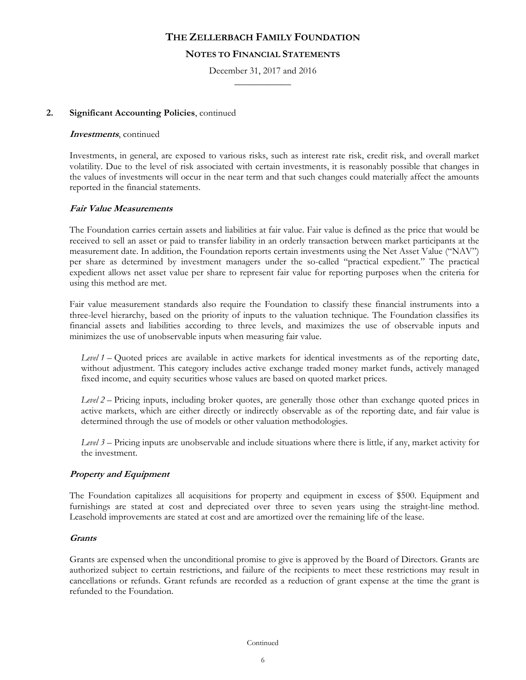## **NOTES TO FINANCIAL STATEMENTS**

December 31, 2017 and 2016  $\frac{1}{2}$ 

## **2. Significant Accounting Policies**, continued

#### **Investments**, continued

Investments, in general, are exposed to various risks, such as interest rate risk, credit risk, and overall market volatility. Due to the level of risk associated with certain investments, it is reasonably possible that changes in the values of investments will occur in the near term and that such changes could materially affect the amounts reported in the financial statements.

### **Fair Value Measurements**

The Foundation carries certain assets and liabilities at fair value. Fair value is defined as the price that would be received to sell an asset or paid to transfer liability in an orderly transaction between market participants at the measurement date. In addition, the Foundation reports certain investments using the Net Asset Value ("NAV") per share as determined by investment managers under the so-called "practical expedient." The practical expedient allows net asset value per share to represent fair value for reporting purposes when the criteria for using this method are met.

Fair value measurement standards also require the Foundation to classify these financial instruments into a three-level hierarchy, based on the priority of inputs to the valuation technique. The Foundation classifies its financial assets and liabilities according to three levels, and maximizes the use of observable inputs and minimizes the use of unobservable inputs when measuring fair value.

*Level 1* – Quoted prices are available in active markets for identical investments as of the reporting date, without adjustment. This category includes active exchange traded money market funds, actively managed fixed income, and equity securities whose values are based on quoted market prices.

*Level 2* – Pricing inputs, including broker quotes, are generally those other than exchange quoted prices in active markets, which are either directly or indirectly observable as of the reporting date, and fair value is determined through the use of models or other valuation methodologies.

*Level 3* – Pricing inputs are unobservable and include situations where there is little, if any, market activity for the investment.

## **Property and Equipment**

The Foundation capitalizes all acquisitions for property and equipment in excess of \$500. Equipment and furnishings are stated at cost and depreciated over three to seven years using the straight-line method. Leasehold improvements are stated at cost and are amortized over the remaining life of the lease.

### **Grants**

Grants are expensed when the unconditional promise to give is approved by the Board of Directors. Grants are authorized subject to certain restrictions, and failure of the recipients to meet these restrictions may result in cancellations or refunds. Grant refunds are recorded as a reduction of grant expense at the time the grant is refunded to the Foundation.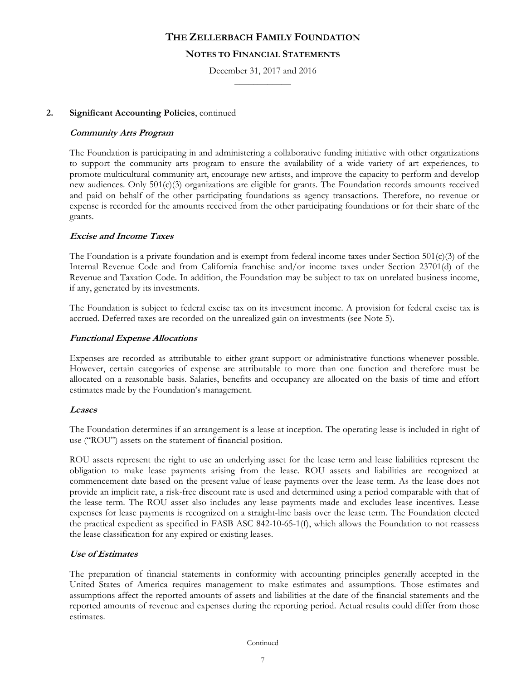## **NOTES TO FINANCIAL STATEMENTS**

December 31, 2017 and 2016  $\frac{1}{2}$ 

## **2. Significant Accounting Policies**, continued

## **Community Arts Program**

The Foundation is participating in and administering a collaborative funding initiative with other organizations to support the community arts program to ensure the availability of a wide variety of art experiences, to promote multicultural community art, encourage new artists, and improve the capacity to perform and develop new audiences. Only 501(c)(3) organizations are eligible for grants. The Foundation records amounts received and paid on behalf of the other participating foundations as agency transactions. Therefore, no revenue or expense is recorded for the amounts received from the other participating foundations or for their share of the grants.

## **Excise and Income Taxes**

The Foundation is a private foundation and is exempt from federal income taxes under Section  $501(c)(3)$  of the Internal Revenue Code and from California franchise and/or income taxes under Section 23701(d) of the Revenue and Taxation Code. In addition, the Foundation may be subject to tax on unrelated business income, if any, generated by its investments.

The Foundation is subject to federal excise tax on its investment income. A provision for federal excise tax is accrued. Deferred taxes are recorded on the unrealized gain on investments (see Note 5).

## **Functional Expense Allocations**

Expenses are recorded as attributable to either grant support or administrative functions whenever possible. However, certain categories of expense are attributable to more than one function and therefore must be allocated on a reasonable basis. Salaries, benefits and occupancy are allocated on the basis of time and effort estimates made by the Foundation's management.

### **Leases**

The Foundation determines if an arrangement is a lease at inception. The operating lease is included in right of use ("ROU") assets on the statement of financial position.

ROU assets represent the right to use an underlying asset for the lease term and lease liabilities represent the obligation to make lease payments arising from the lease. ROU assets and liabilities are recognized at commencement date based on the present value of lease payments over the lease term. As the lease does not provide an implicit rate, a risk-free discount rate is used and determined using a period comparable with that of the lease term. The ROU asset also includes any lease payments made and excludes lease incentives. Lease expenses for lease payments is recognized on a straight-line basis over the lease term. The Foundation elected the practical expedient as specified in FASB ASC 842-10-65-1(f), which allows the Foundation to not reassess the lease classification for any expired or existing leases.

### **Use of Estimates**

The preparation of financial statements in conformity with accounting principles generally accepted in the United States of America requires management to make estimates and assumptions. Those estimates and assumptions affect the reported amounts of assets and liabilities at the date of the financial statements and the reported amounts of revenue and expenses during the reporting period. Actual results could differ from those estimates.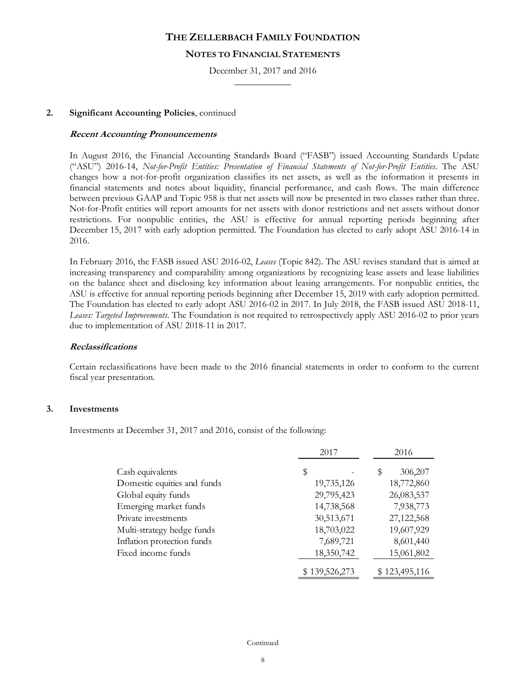## **NOTES TO FINANCIAL STATEMENTS**

December 31, 2017 and 2016  $\frac{1}{2}$ 

### **2. Significant Accounting Policies**, continued

#### **Recent Accounting Pronouncements**

In August 2016, the Financial Accounting Standards Board ("FASB") issued Accounting Standards Update ("ASU") 2016-14, *Not-for-Profit Entities: Presentation of Financial Statements of Not-for-Profit Entities*. The ASU changes how a not-for-profit organization classifies its net assets, as well as the information it presents in financial statements and notes about liquidity, financial performance, and cash flows. The main difference between previous GAAP and Topic 958 is that net assets will now be presented in two classes rather than three. Not-for-Profit entities will report amounts for net assets with donor restrictions and net assets without donor restrictions. For nonpublic entities, the ASU is effective for annual reporting periods beginning after December 15, 2017 with early adoption permitted. The Foundation has elected to early adopt ASU 2016-14 in 2016.

In February 2016, the FASB issued ASU 2016-02, *Leases* (Topic 842). The ASU revises standard that is aimed at increasing transparency and comparability among organizations by recognizing lease assets and lease liabilities on the balance sheet and disclosing key information about leasing arrangements. For nonpublic entities, the ASU is effective for annual reporting periods beginning after December 15, 2019 with early adoption permitted. The Foundation has elected to early adopt ASU 2016-02 in 2017. In July 2018, the FASB issued ASU 2018-11, *Leases: Targeted Improvements*. The Foundation is not required to retrospectively apply ASU 2016-02 to prior years due to implementation of ASU 2018-11 in 2017.

#### **Reclassifications**

Certain reclassifications have been made to the 2016 financial statements in order to conform to the current fiscal year presentation.

#### **3. Investments**

Investments at December 31, 2017 and 2016, consist of the following:

|                             | 2017          | 2016          |
|-----------------------------|---------------|---------------|
| Cash equivalents            | \$            | 306,207<br>\$ |
| Domestic equities and funds | 19,735,126    | 18,772,860    |
| Global equity funds         | 29,795,423    | 26,083,537    |
| Emerging market funds       | 14,738,568    | 7,938,773     |
| Private investments         | 30,513,671    | 27,122,568    |
| Multi-strategy hedge funds  | 18,703,022    | 19,607,929    |
| Inflation protection funds  | 7,689,721     | 8,601,440     |
| Fixed income funds          | 18,350,742    | 15,061,802    |
|                             | \$139,526,273 | \$123,495,116 |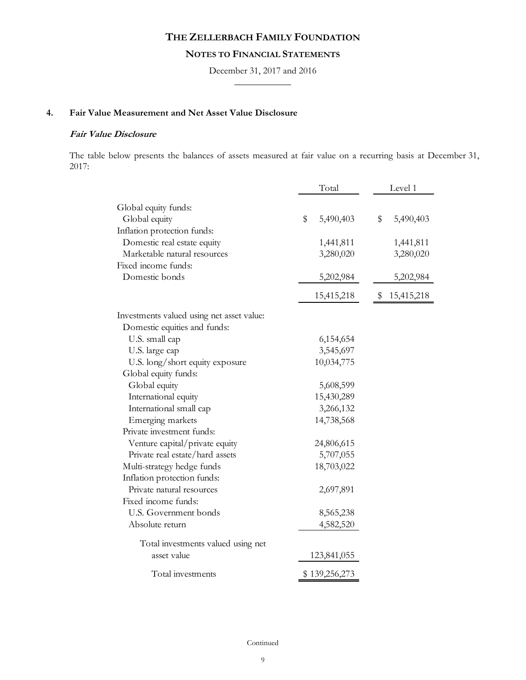## **NOTES TO FINANCIAL STATEMENTS**

December 31, 2017 and 2016  $\frac{1}{2}$ 

## **4. Fair Value Measurement and Net Asset Value Disclosure**

## **Fair Value Disclosure**

The table below presents the balances of assets measured at fair value on a recurring basis at December 31, 2017:

|                                           | Total           | Level 1         |
|-------------------------------------------|-----------------|-----------------|
| Global equity funds:                      |                 |                 |
| Global equity                             | \$<br>5,490,403 | 5,490,403<br>\$ |
| Inflation protection funds:               |                 |                 |
| Domestic real estate equity               | 1,441,811       | 1,441,811       |
| Marketable natural resources              | 3,280,020       | 3,280,020       |
| Fixed income funds:                       |                 |                 |
| Domestic bonds                            | 5,202,984       | 5,202,984       |
|                                           | 15,415,218      | \$15,415,218    |
| Investments valued using net asset value: |                 |                 |
| Domestic equities and funds:              |                 |                 |
| U.S. small cap                            | 6,154,654       |                 |
| U.S. large cap                            | 3,545,697       |                 |
| U.S. long/short equity exposure           | 10,034,775      |                 |
| Global equity funds:                      |                 |                 |
| Global equity                             | 5,608,599       |                 |
| International equity                      | 15,430,289      |                 |
| International small cap                   | 3,266,132       |                 |
| Emerging markets                          | 14,738,568      |                 |
| Private investment funds:                 |                 |                 |
| Venture capital/private equity            | 24,806,615      |                 |
| Private real estate/hard assets           | 5,707,055       |                 |
| Multi-strategy hedge funds                | 18,703,022      |                 |
| Inflation protection funds:               |                 |                 |
| Private natural resources                 | 2,697,891       |                 |
| Fixed income funds:                       |                 |                 |
| U.S. Government bonds                     | 8,565,238       |                 |
| Absolute return                           | 4,582,520       |                 |
| Total investments valued using net        |                 |                 |
| asset value                               | 123,841,055     |                 |
| Total investments                         | \$139,256,273   |                 |

Continued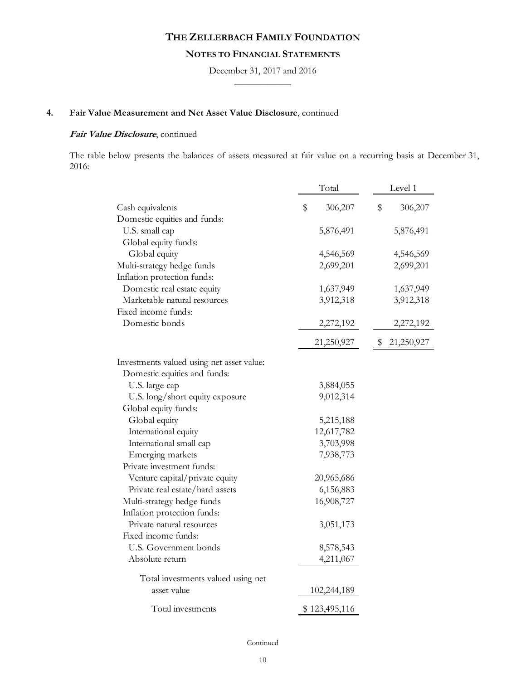# **NOTES TO FINANCIAL STATEMENTS**

December 31, 2017 and 2016  $\frac{1}{2}$ 

# **4. Fair Value Measurement and Net Asset Value Disclosure**, continued

## **Fair Value Disclosure**, continued

The table below presents the balances of assets measured at fair value on a recurring basis at December 31, 2016:

|                                           | Total         | Level 1       |  |
|-------------------------------------------|---------------|---------------|--|
| Cash equivalents                          | \$<br>306,207 | \$<br>306,207 |  |
| Domestic equities and funds:              |               |               |  |
| U.S. small cap                            | 5,876,491     | 5,876,491     |  |
| Global equity funds:                      |               |               |  |
| Global equity                             | 4,546,569     | 4,546,569     |  |
| Multi-strategy hedge funds                | 2,699,201     | 2,699,201     |  |
| Inflation protection funds:               |               |               |  |
| Domestic real estate equity               | 1,637,949     | 1,637,949     |  |
| Marketable natural resources              | 3,912,318     | 3,912,318     |  |
| Fixed income funds:                       |               |               |  |
| Domestic bonds                            | 2,272,192     | 2,272,192     |  |
|                                           | 21,250,927    | \$21,250,927  |  |
| Investments valued using net asset value: |               |               |  |
| Domestic equities and funds:              |               |               |  |
| U.S. large cap                            | 3,884,055     |               |  |
| U.S. long/short equity exposure           | 9,012,314     |               |  |
| Global equity funds:                      |               |               |  |
| Global equity                             | 5,215,188     |               |  |
| International equity                      | 12,617,782    |               |  |
| International small cap                   | 3,703,998     |               |  |
| Emerging markets                          | 7,938,773     |               |  |
| Private investment funds:                 |               |               |  |
| Venture capital/private equity            | 20,965,686    |               |  |
| Private real estate/hard assets           | 6,156,883     |               |  |
| Multi-strategy hedge funds                | 16,908,727    |               |  |
| Inflation protection funds:               |               |               |  |
| Private natural resources                 | 3,051,173     |               |  |
| Fixed income funds:                       |               |               |  |
| U.S. Government bonds                     | 8,578,543     |               |  |
| Absolute return                           | 4,211,067     |               |  |
| Total investments valued using net        |               |               |  |
| asset value                               | 102,244,189   |               |  |
| Total investments                         | \$123,495,116 |               |  |

Continued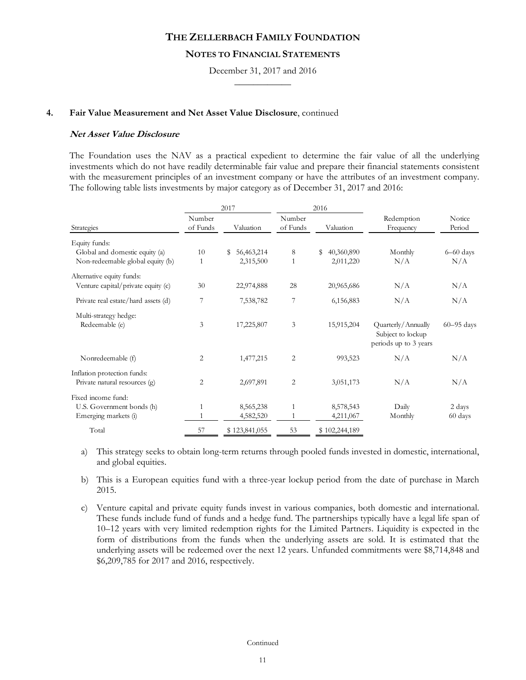### **NOTES TO FINANCIAL STATEMENTS**

December 31, 2017 and 2016  $\frac{1}{2}$ 

#### **4. Fair Value Measurement and Net Asset Value Disclosure**, continued

### **Net Asset Value Disclosure**

The Foundation uses the NAV as a practical expedient to determine the fair value of all the underlying investments which do not have readily determinable fair value and prepare their financial statements consistent with the measurement principles of an investment company or have the attributes of an investment company. The following table lists investments by major category as of December 31, 2017 and 2016:

|                                                                 |                    | 2017             |                    |                  |                                         |                  |  |  |  | 2016 |  |  |
|-----------------------------------------------------------------|--------------------|------------------|--------------------|------------------|-----------------------------------------|------------------|--|--|--|------|--|--|
| Strategies                                                      | Number<br>of Funds | Valuation        | Number<br>of Funds | Valuation        | Redemption<br>Frequency                 | Notice<br>Period |  |  |  |      |  |  |
| Equity funds:                                                   |                    |                  |                    |                  |                                         |                  |  |  |  |      |  |  |
| Global and domestic equity (a)                                  | 10                 | 56,463,214<br>\$ | 8                  | \$<br>40,360,890 | Monthly                                 | $6 - 60$ days    |  |  |  |      |  |  |
| Non-redeemable global equity (b)                                | 1                  | 2,315,500        | 1                  | 2,011,220        | N/A                                     | N/A              |  |  |  |      |  |  |
| Alternative equity funds:<br>Venture capital/private equity (c) | 30                 | 22,974,888       | 28                 | 20,965,686       | N/A                                     | N/A              |  |  |  |      |  |  |
|                                                                 |                    |                  |                    |                  |                                         |                  |  |  |  |      |  |  |
| Private real estate/hard assets (d)                             | 7                  | 7,538,782        | 7                  | 6,156,883        | N/A                                     | N/A              |  |  |  |      |  |  |
| Multi-strategy hedge:<br>Redeemable (e)                         | 3                  | 17,225,807       | 3                  | 15,915,204       | Quarterly/Annually<br>Subject to lockup | $60 - 95$ days   |  |  |  |      |  |  |
|                                                                 |                    |                  |                    |                  | periods up to 3 years                   |                  |  |  |  |      |  |  |
| Nonredeemable (f)                                               | 2                  | 1,477,215        | 2                  | 993,523          | N/A                                     | N/A              |  |  |  |      |  |  |
| Inflation protection funds:<br>Private natural resources (g)    | 2                  | 2,697,891        | 2                  | 3,051,173        | N/A                                     | N/A              |  |  |  |      |  |  |
| Fixed income fund:                                              |                    |                  |                    |                  |                                         |                  |  |  |  |      |  |  |
| U.S. Government bonds (h)                                       | 1                  | 8,565,238        | $\mathbf{1}$       | 8,578,543        | Daily                                   | 2 days           |  |  |  |      |  |  |
| Emerging markets (i)                                            |                    | 4,582,520        |                    | 4,211,067        | Monthly                                 | 60 days          |  |  |  |      |  |  |
| Total                                                           | 57                 | \$123,841,055    | 53                 | \$102,244,189    |                                         |                  |  |  |  |      |  |  |

a) This strategy seeks to obtain long-term returns through pooled funds invested in domestic, international, and global equities.

b) This is a European equities fund with a three-year lockup period from the date of purchase in March 2015.

c) Venture capital and private equity funds invest in various companies, both domestic and international. These funds include fund of funds and a hedge fund. The partnerships typically have a legal life span of 10–12 years with very limited redemption rights for the Limited Partners. Liquidity is expected in the form of distributions from the funds when the underlying assets are sold. It is estimated that the underlying assets will be redeemed over the next 12 years. Unfunded commitments were \$8,714,848 and \$6,209,785 for 2017 and 2016, respectively.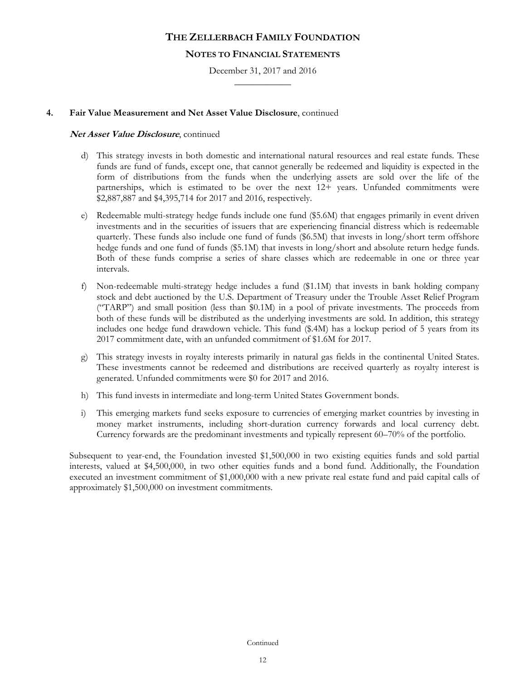## **NOTES TO FINANCIAL STATEMENTS**

December 31, 2017 and 2016  $\frac{1}{2}$ 

## **4. Fair Value Measurement and Net Asset Value Disclosure**, continued

### **Net Asset Value Disclosure**, continued

- d) This strategy invests in both domestic and international natural resources and real estate funds. These funds are fund of funds, except one, that cannot generally be redeemed and liquidity is expected in the form of distributions from the funds when the underlying assets are sold over the life of the partnerships, which is estimated to be over the next 12+ years. Unfunded commitments were \$2,887,887 and \$4,395,714 for 2017 and 2016, respectively.
- e) Redeemable multi-strategy hedge funds include one fund (\$5.6M) that engages primarily in event driven investments and in the securities of issuers that are experiencing financial distress which is redeemable quarterly. These funds also include one fund of funds (\$6.5M) that invests in long/short term offshore hedge funds and one fund of funds (\$5.1M) that invests in long/short and absolute return hedge funds. Both of these funds comprise a series of share classes which are redeemable in one or three year intervals.
- f) Non-redeemable multi-strategy hedge includes a fund (\$1.1M) that invests in bank holding company stock and debt auctioned by the U.S. Department of Treasury under the Trouble Asset Relief Program ("TARP") and small position (less than \$0.1M) in a pool of private investments. The proceeds from both of these funds will be distributed as the underlying investments are sold. In addition, this strategy includes one hedge fund drawdown vehicle. This fund (\$.4M) has a lockup period of 5 years from its 2017 commitment date, with an unfunded commitment of \$1.6M for 2017.
- g) This strategy invests in royalty interests primarily in natural gas fields in the continental United States. These investments cannot be redeemed and distributions are received quarterly as royalty interest is generated. Unfunded commitments were \$0 for 2017 and 2016.
- h) This fund invests in intermediate and long-term United States Government bonds.
- i) This emerging markets fund seeks exposure to currencies of emerging market countries by investing in money market instruments, including short-duration currency forwards and local currency debt. Currency forwards are the predominant investments and typically represent 60–70% of the portfolio.

Subsequent to year-end, the Foundation invested \$1,500,000 in two existing equities funds and sold partial interests, valued at \$4,500,000, in two other equities funds and a bond fund. Additionally, the Foundation executed an investment commitment of \$1,000,000 with a new private real estate fund and paid capital calls of approximately \$1,500,000 on investment commitments.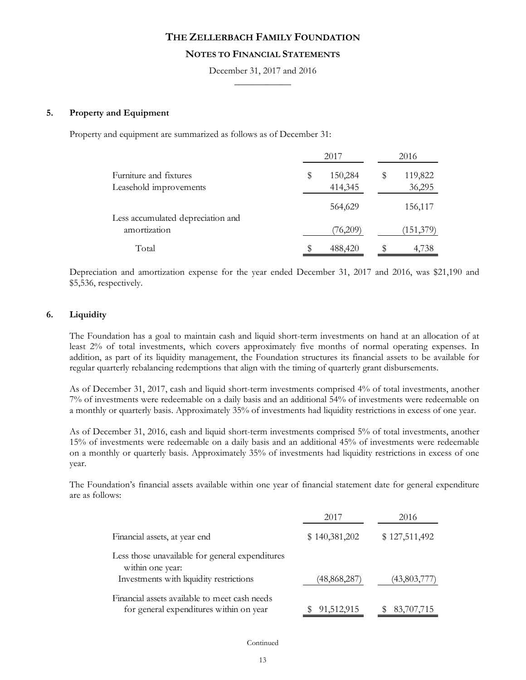## **NOTES TO FINANCIAL STATEMENTS**

December 31, 2017 and 2016  $\frac{1}{2}$ 

### **5. Property and Equipment**

Property and equipment are summarized as follows as of December 31:

|                                                   | 2017          | 2016          |
|---------------------------------------------------|---------------|---------------|
| Furniture and fixtures                            | \$<br>150,284 | \$<br>119,822 |
| Leasehold improvements                            | 414,345       | 36,295        |
|                                                   | 564,629       | 156,117       |
| Less accumulated depreciation and<br>amortization | (76,209)      | (151,379)     |
| Total                                             | 488,420       | 4,738         |

Depreciation and amortization expense for the year ended December 31, 2017 and 2016, was \$21,190 and \$5,536, respectively.

## **6. Liquidity**

The Foundation has a goal to maintain cash and liquid short-term investments on hand at an allocation of at least 2% of total investments, which covers approximately five months of normal operating expenses. In addition, as part of its liquidity management, the Foundation structures its financial assets to be available for regular quarterly rebalancing redemptions that align with the timing of quarterly grant disbursements.

As of December 31, 2017, cash and liquid short-term investments comprised 4% of total investments, another 7% of investments were redeemable on a daily basis and an additional 54% of investments were redeemable on a monthly or quarterly basis. Approximately 35% of investments had liquidity restrictions in excess of one year.

As of December 31, 2016, cash and liquid short-term investments comprised 5% of total investments, another 15% of investments were redeemable on a daily basis and an additional 45% of investments were redeemable on a monthly or quarterly basis. Approximately 35% of investments had liquidity restrictions in excess of one year.

The Foundation's financial assets available within one year of financial statement date for general expenditure are as follows:

|                                                                                                                | 2017          | 2016          |
|----------------------------------------------------------------------------------------------------------------|---------------|---------------|
| Financial assets, at year end                                                                                  | \$140,381,202 | \$127,511,492 |
| Less those unavailable for general expenditures<br>within one year:<br>Investments with liquidity restrictions | (48,868,287)  | (43,803,777)  |
| Financial assets available to meet cash needs<br>for general expenditures within on year                       | 91,512,915    | 83,707,715    |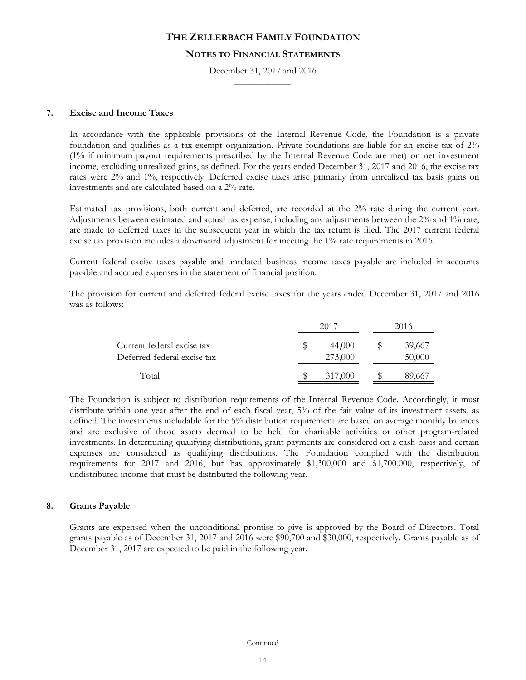### **NOTES TO FINANCIAL STATEMENTS**

December 31, 2017 and 2016  $\frac{1}{2}$ 

### **7. Excise and Income Taxes**

In accordance with the applicable provisions of the Internal Revenue Code, the Foundation is a private foundation and qualifies as a tax-exempt organization. Private foundations are liable for an excise tax of 2% (1% if minimum payout requirements prescribed by the Internal Revenue Code are met) on net investment income, excluding unrealized gains, as defined. For the years ended December 31, 2017 and 2016, the excise tax rates were 2% and 1%, respectively. Deferred excise taxes arise primarily from unrealized tax basis gains on investments and are calculated based on a 2% rate.

Estimated tax provisions, both current and deferred, are recorded at the 2% rate during the current year. Adjustments between estimated and actual tax expense, including any adjustments between the 2% and 1% rate, are made to deferred taxes in the subsequent year in which the tax return is filed. The 2017 current federal excise tax provision includes a downward adjustment for meeting the 1% rate requirements in 2016.

Current federal excise taxes payable and unrelated business income taxes payable are included in accounts payable and accrued expenses in the statement of financial position.

The provision for current and deferred federal excise taxes for the years ended December 31, 2017 and 2016 was as follows:

|                                                           | 2017              | 2016             |
|-----------------------------------------------------------|-------------------|------------------|
| Current federal excise tax<br>Deferred federal excise tax | 44,000<br>273,000 | 39,667<br>50,000 |
| Total                                                     | 317,000           | 89,66.           |

The Foundation is subject to distribution requirements of the Internal Revenue Code. Accordingly, it must distribute within one year after the end of each fiscal year, 5% of the fair value of its investment assets, as defined. The investments includable for the 5% distribution requirement are based on average monthly balances and are exclusive of those assets deemed to be held for charitable activities or other program-related investments. In determining qualifying distributions, grant payments are considered on a cash basis and certain expenses are considered as qualifying distributions. The Foundation complied with the distribution requirements for 2017 and 2016, but has approximately \$1,300,000 and \$1,700,000, respectively, of undistributed income that must be distributed the following year.

## **8. Grants Payable**

Grants are expensed when the unconditional promise to give is approved by the Board of Directors. Total grants payable as of December 31, 2017 and 2016 were \$90,700 and \$30,000, respectively. Grants payable as of December 31, 2017 are expected to be paid in the following year.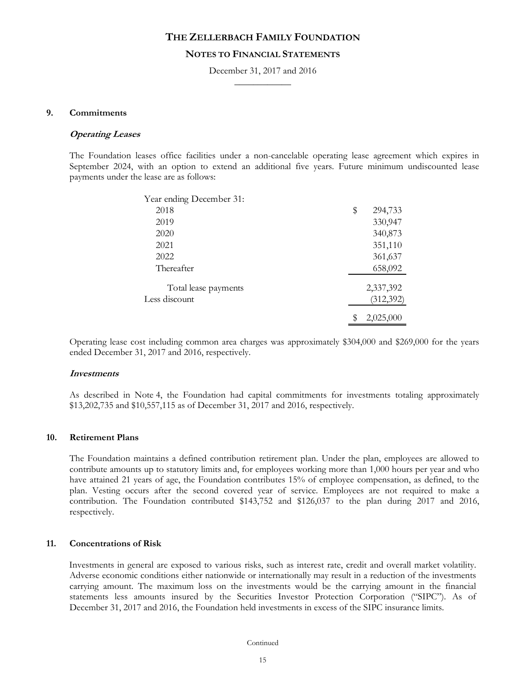### **NOTES TO FINANCIAL STATEMENTS**

December 31, 2017 and 2016  $\frac{1}{2}$ 

### **9. Commitments**

#### **Operating Leases**

The Foundation leases office facilities under a non-cancelable operating lease agreement which expires in September 2024, with an option to extend an additional five years. Future minimum undiscounted lease payments under the lease are as follows:

| Year ending December 31: |                 |
|--------------------------|-----------------|
| 2018                     | \$<br>294,733   |
| 2019                     | 330,947         |
| 2020                     | 340,873         |
| 2021                     | 351,110         |
| 2022                     | 361,637         |
| Thereafter               | 658,092         |
| Total lease payments     | 2,337,392       |
| Less discount            | (312, 392)      |
|                          | \$<br>2,025,000 |

Operating lease cost including common area charges was approximately \$304,000 and \$269,000 for the years ended December 31, 2017 and 2016, respectively.

#### **Investments**

As described in Note 4, the Foundation had capital commitments for investments totaling approximately \$13,202,735 and \$10,557,115 as of December 31, 2017 and 2016, respectively.

#### **10. Retirement Plans**

The Foundation maintains a defined contribution retirement plan. Under the plan, employees are allowed to contribute amounts up to statutory limits and, for employees working more than 1,000 hours per year and who have attained 21 years of age, the Foundation contributes 15% of employee compensation, as defined, to the plan. Vesting occurs after the second covered year of service. Employees are not required to make a contribution. The Foundation contributed \$143,752 and \$126,037 to the plan during 2017 and 2016, respectively.

### **11. Concentrations of Risk**

Investments in general are exposed to various risks, such as interest rate, credit and overall market volatility. Adverse economic conditions either nationwide or internationally may result in a reduction of the investments carrying amount. The maximum loss on the investments would be the carrying amount in the financial statements less amounts insured by the Securities Investor Protection Corporation ("SIPC"). As of December 31, 2017 and 2016, the Foundation held investments in excess of the SIPC insurance limits.